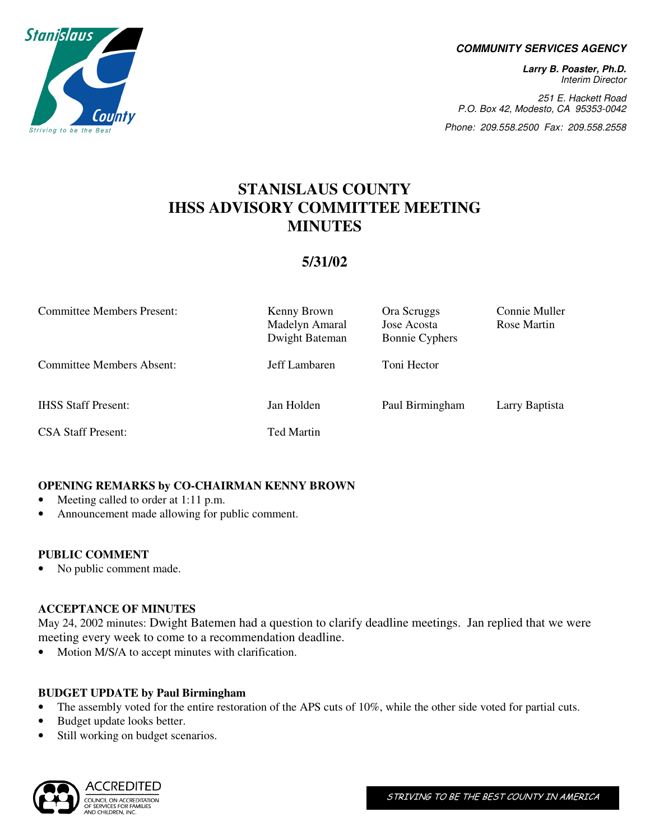

#### **COMMUNITY SERVICES AGENCY**

**Larry B. Poaster, Ph.D.**  Interim Director

251 E. Hackett Road P.O. Box 42, Modesto, CA 95353-0042

Phone: 209.558.2500 Fax: 209.558.2558

# **STANISLAUS COUNTY IHSS ADVISORY COMMITTEE MEETING MINUTES**

# **5/31/02**

| <b>Committee Members Present:</b> | Kenny Brown<br>Madelyn Amaral<br>Dwight Bateman | Ora Scruggs<br>Jose Acosta<br><b>Bonnie Cyphers</b> | Connie Muller<br>Rose Martin |
|-----------------------------------|-------------------------------------------------|-----------------------------------------------------|------------------------------|
| Committee Members Absent:         | Jeff Lambaren                                   | Toni Hector                                         |                              |
| <b>IHSS Staff Present:</b>        | Jan Holden                                      | Paul Birmingham                                     | Larry Baptista               |
| <b>CSA Staff Present:</b>         | <b>Ted Martin</b>                               |                                                     |                              |

# **OPENING REMARKS by CO-CHAIRMAN KENNY BROWN**

- Meeting called to order at 1:11 p.m.
- Announcement made allowing for public comment.

#### **PUBLIC COMMENT**

• No public comment made.

#### **ACCEPTANCE OF MINUTES**

May 24, 2002 minutes: Dwight Batemen had a question to clarify deadline meetings. Jan replied that we were meeting every week to come to a recommendation deadline.

• Motion M/S/A to accept minutes with clarification.

#### **BUDGET UPDATE by Paul Birmingham**

- The assembly voted for the entire restoration of the APS cuts of 10%, while the other side voted for partial cuts.
- Budget update looks better.
- Still working on budget scenarios.